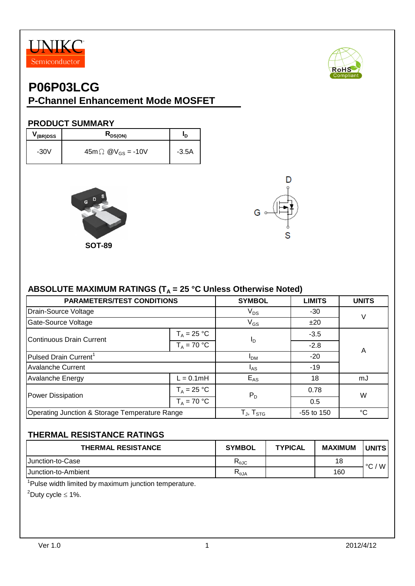



#### **PRODUCT SUMMARY**

| V (BR)DSS | $R_{DS(ON)}$                        | םי      |
|-----------|-------------------------------------|---------|
| $-30V$    | $45m\Omega$ @V <sub>GS</sub> = -10V | $-3.5A$ |





### **ABSOLUTE MAXIMUM RATINGS (TA = 25 °C Unless Otherwise Noted)**

| PARAMETERS/TEST CONDITIONS                     | <b>SYMBOL</b>                                        | <b>LIMITS</b>  | <b>UNITS</b> |    |  |
|------------------------------------------------|------------------------------------------------------|----------------|--------------|----|--|
| Drain-Source Voltage                           | $V_{DS}$                                             | -30            |              |    |  |
| Gate-Source Voltage                            | $V_{GS}$                                             | ±20            | V            |    |  |
| <b>Continuous Drain Current</b>                | $T_A = 25 °C$                                        |                | $-3.5$       |    |  |
|                                                | $T_A = 70 °C$                                        | <sup>I</sup> D | $-2.8$       | A  |  |
| Pulsed Drain Current <sup>1</sup>              | <b>I</b> <sub>DM</sub>                               | $-20$          |              |    |  |
| <b>Avalanche Current</b>                       | $-19$<br>$I_{AS}$                                    |                |              |    |  |
| <b>Avalanche Energy</b>                        | $L = 0.1$ mH                                         | $E_{AS}$       | 18           | mJ |  |
| Power Dissipation                              | $T_A = 25 °C$                                        | $P_D$          | 0.78         | W  |  |
|                                                | $T_A = 70 °C$                                        |                | 0.5          |    |  |
| Operating Junction & Storage Temperature Range | $\mathsf{T}_{\mathsf{J}}, \mathsf{T}_{\mathsf{STG}}$ | -55 to 150     | $^{\circ}C$  |    |  |

#### **THERMAL RESISTANCE RATINGS**

| <b>THERMAL RESISTANCE</b>   | <b>SYMBOL</b>  | <b>TYPICAL</b> | <b>MAXIMUM</b> | <b>IUNITS</b> |
|-----------------------------|----------------|----------------|----------------|---------------|
| <b>IJunction-to-Case</b>    | $R_{\theta$ JC |                | 18             | W<br>$\sim$   |
| <b>IJunction-to-Ambient</b> | $R_{\theta$ JA |                | 160            |               |

<sup>1</sup>Pulse width limited by maximum junction temperature.

<sup>2</sup>Duty cycle  $\leq 1\%$ .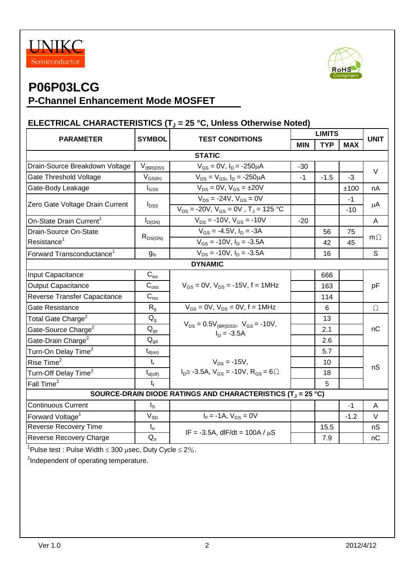



# **P06P03LCG**

### **P-Channel Enhancement Mode MOSFET**

#### **ELECTRICAL CHARACTERISTICS (T<sup>J</sup> = 25 °C, Unless Otherwise Noted)**

| <b>PARAMETER</b>                                                        | <b>SYMBOL</b><br><b>TEST CONDITIONS</b>             |                                                                                  | <b>LIMITS</b> |            |            | <b>UNIT</b> |  |  |
|-------------------------------------------------------------------------|-----------------------------------------------------|----------------------------------------------------------------------------------|---------------|------------|------------|-------------|--|--|
|                                                                         |                                                     |                                                                                  | <b>MIN</b>    | <b>TYP</b> | <b>MAX</b> |             |  |  |
| <b>STATIC</b>                                                           |                                                     |                                                                                  |               |            |            |             |  |  |
| Drain-Source Breakdown Voltage                                          | $V_{(BR)DSS}$<br>$V_{GS} = 0V$ , $I_D = -250 \mu A$ |                                                                                  | $-30$         |            |            | V           |  |  |
| Gate Threshold Voltage                                                  | $V_{GS(th)}$                                        | $V_{DS} = V_{GS}$ , $I_D = -250 \mu A$                                           |               | $-1.5$     | $-3$       |             |  |  |
| Gate-Body Leakage                                                       | $I_{GSS}$                                           | $V_{DS} = 0V$ , $V_{GS} = \pm 20V$                                               |               |            | ±100       | nA          |  |  |
|                                                                         |                                                     | $V_{DS}$ = -24V, $V_{GS}$ = 0V                                                   |               |            | $-1$       | μA          |  |  |
| Zero Gate Voltage Drain Current                                         | $I_{DSS}$                                           | $V_{DS}$ = -20V, $V_{GS}$ = 0V, $T_J$ = 125 °C                                   |               |            | $-10$      |             |  |  |
| On-State Drain Current <sup>1</sup>                                     | $I_{D(ON)}$                                         | $V_{DS}$ = -10V, $V_{GS}$ = -10V                                                 | $-20$         |            |            | A           |  |  |
| Drain-Source On-State                                                   |                                                     | $V_{GS} = -4.5V$ , $I_D = -3A$                                                   |               | 56         | 75         |             |  |  |
| Resistance <sup>1</sup>                                                 | $R_{DS(ON)}$                                        | $V_{GS}$ = -10V, $I_D$ = -3.5A                                                   |               | 42         | 45         | $m\Omega$   |  |  |
| Forward Transconductance <sup>1</sup>                                   | g <sub>fs</sub>                                     | $V_{DS}$ = -10V, $I_D$ = -3.5A                                                   |               | 16         |            | S           |  |  |
|                                                                         |                                                     | <b>DYNAMIC</b>                                                                   |               |            |            |             |  |  |
| Input Capacitance                                                       | $C_{\hbox{\tiny ISS}}$                              |                                                                                  |               | 666        |            | pF          |  |  |
| <b>Output Capacitance</b>                                               | $\mathbf{C}_{\text{oss}}$                           | $V_{GS} = 0V$ , $V_{DS} = -15V$ , f = 1MHz                                       |               | 163        |            |             |  |  |
| Reverse Transfer Capacitance                                            | $C_{\text{rss}}$                                    |                                                                                  |               | 114        |            |             |  |  |
| Gate Resistance                                                         | $R_{q}$                                             | $V_{GS} = 0V$ , $V_{DS} = 0V$ , $f = 1MHz$                                       |               | 6          |            | Ω           |  |  |
| Total Gate Charge <sup>2</sup>                                          | $Q_{q}$                                             |                                                                                  |               | 13         |            |             |  |  |
| Gate-Source Charge <sup>2</sup>                                         | $\mathsf{Q}_{\mathsf{gs}}$                          | $V_{DS} = 0.5V_{(BR)DSS}$ , $V_{GS} = -10V$ ,<br>$I_D = -3.5A$                   |               | 2.1        |            | nC          |  |  |
| Gate-Drain Charge <sup>2</sup>                                          | $Q_{\text{qd}}$                                     |                                                                                  |               | 2.6        |            |             |  |  |
| Turn-On Delay Time <sup>2</sup>                                         | $t_{d(on)}$                                         |                                                                                  |               | 5.7        |            |             |  |  |
| Rise Time <sup>2</sup>                                                  | $t_{r}$                                             | $V_{DS} = -15V$ ,                                                                |               | 10         |            |             |  |  |
| Turn-Off Delay Time <sup>2</sup>                                        | $t_{d(\text{off})}$                                 | $I_{\text{D}} \cong -3.5$ A, $V_{\text{GS}} = -10V$ , $R_{\text{GS}} = 6 \Omega$ |               | 18         |            | nS          |  |  |
| Fall Time <sup>2</sup>                                                  | $t_{f}$                                             |                                                                                  |               | 5          |            |             |  |  |
| SOURCE-DRAIN DIODE RATINGS AND CHARACTERISTICS (T <sub>J</sub> = 25 °C) |                                                     |                                                                                  |               |            |            |             |  |  |
| <b>Continuous Current</b>                                               | $I_{\rm S}$                                         |                                                                                  |               |            | $-1$       | A           |  |  |
| Forward Voltage <sup>1</sup>                                            | $V_{SD}$                                            | $I_F = -1A$ , $V_{GS} = 0V$                                                      |               |            | $-1.2$     | V           |  |  |
| <b>Reverse Recovery Time</b>                                            | $t_{rr}$                                            |                                                                                  |               | 15.5       |            | nS          |  |  |
| <b>Reverse Recovery Charge</b>                                          | $Q_{rr}$                                            | IF = -3.5A, dlF/dt = $100A / \mu S$                                              |               | 7.9        |            | nC          |  |  |

<sup>1</sup>Pulse test : Pulse Width  $\leq$  300 µsec, Duty Cycle  $\leq$  2%.

<sup>2</sup>Independent of operating temperature.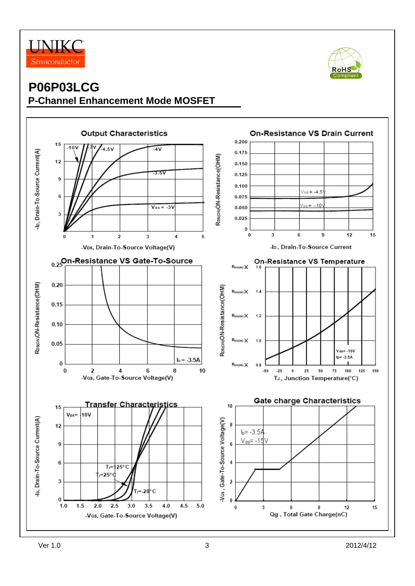



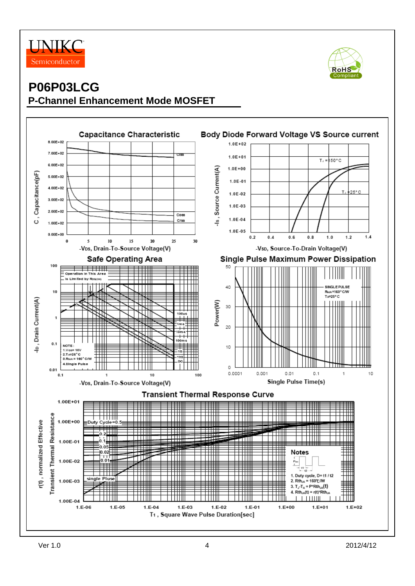